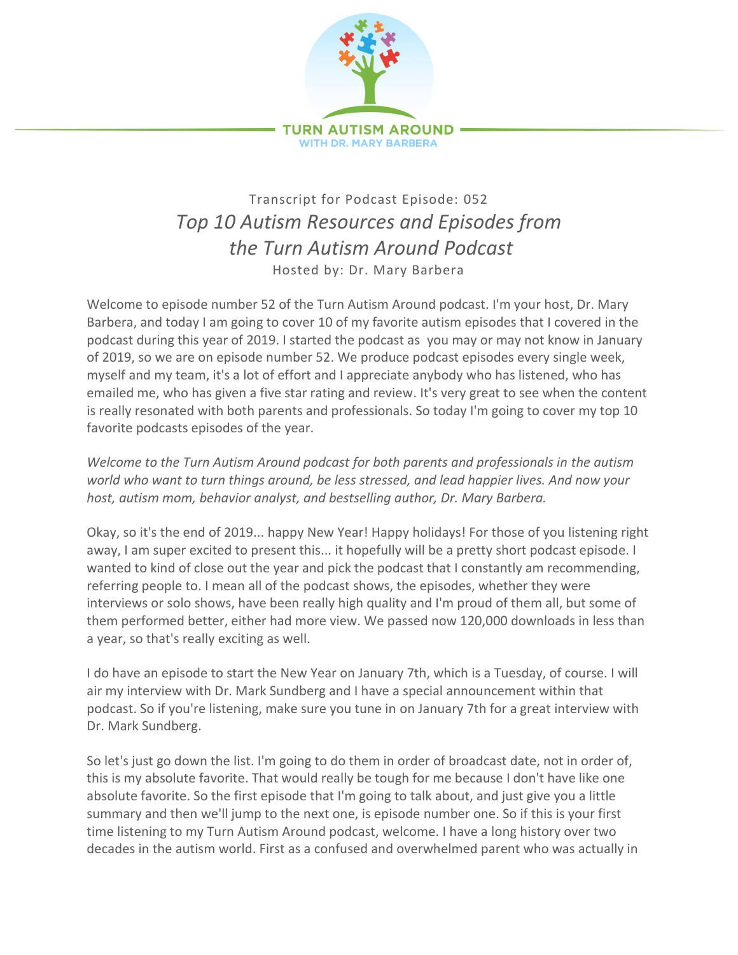

## Transcript for Podcast Episode: 052 *Top 10 Autism Resources and Episodes from the Turn Autism Around Podcast* Hosted by: Dr. Mary Barbera

Welcome to episode number 52 of the Turn Autism Around podcast. I'm your host, Dr. Mary Barbera, and today I am going to cover 10 of my favorite autism episodes that I covered in the podcast during this year of 2019. I started the podcast as you may or may not know in January of 2019, so we are on episode number 52. We produce podcast episodes every single week, myself and my team, it's a lot of effort and I appreciate anybody who has listened, who has emailed me, who has given a five star rating and review. It's very great to see when the content is really resonated with both parents and professionals. So today I'm going to cover my top 10 favorite podcasts episodes of the year.

*Welcome to the Turn Autism Around podcast for both parents and professionals in the autism world who want to turn things around, be less stressed, and lead happier lives. And now your host, autism mom, behavior analyst, and bestselling author, Dr. Mary Barbera.*

Okay, so it's the end of 2019... happy New Year! Happy holidays! For those of you listening right away, I am super excited to present this... it hopefully will be a pretty short podcast episode. I wanted to kind of close out the year and pick the podcast that I constantly am recommending, referring people to. I mean all of the podcast shows, the episodes, whether they were interviews or solo shows, have been really high quality and I'm proud of them all, but some of them performed better, either had more view. We passed now 120,000 downloads in less than a year, so that's really exciting as well.

I do have an episode to start the New Year on January 7th, which is a Tuesday, of course. I will air my interview with Dr. Mark Sundberg and I have a special announcement within that podcast. So if you're listening, make sure you tune in on January 7th for a great interview with Dr. Mark Sundberg.

So let's just go down the list. I'm going to do them in order of broadcast date, not in order of, this is my absolute favorite. That would really be tough for me because I don't have like one absolute favorite. So the first episode that I'm going to talk about, and just give you a little summary and then we'll jump to the next one, is episode number one. So if this is your first time listening to my Turn Autism Around podcast, welcome. I have a long history over two decades in the autism world. First as a confused and overwhelmed parent who was actually in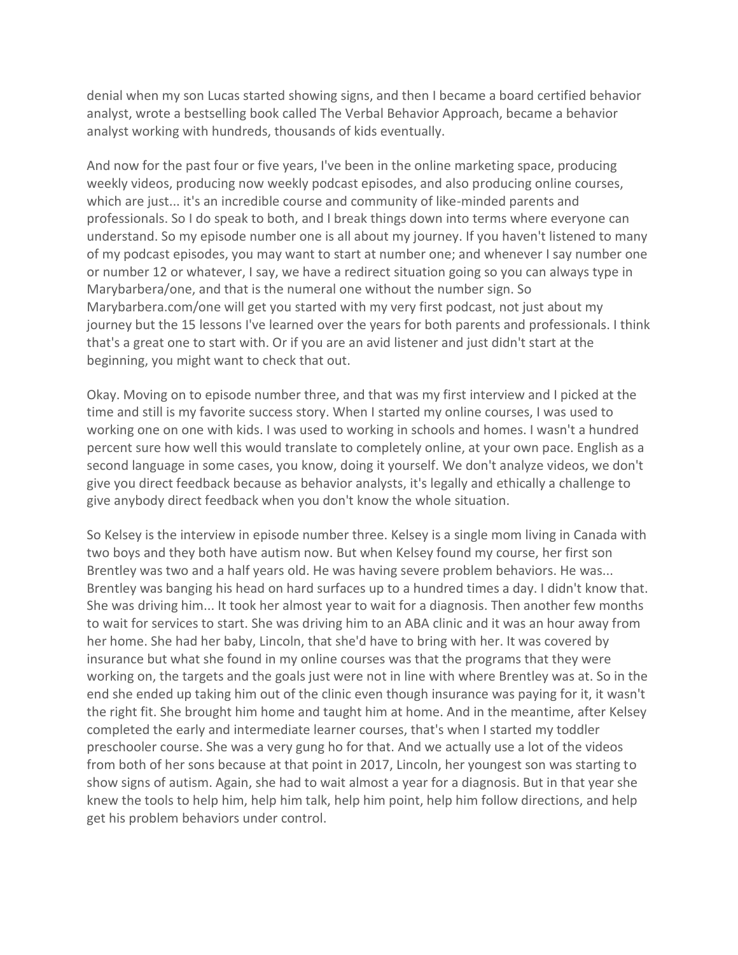denial when my son Lucas started showing signs, and then I became a board certified behavior analyst, wrote a bestselling book called The Verbal Behavior Approach, became a behavior analyst working with hundreds, thousands of kids eventually.

And now for the past four or five years, I've been in the online marketing space, producing weekly videos, producing now weekly podcast episodes, and also producing online courses, which are just... it's an incredible course and community of like-minded parents and professionals. So I do speak to both, and I break things down into terms where everyone can understand. So my episode number one is all about my journey. If you haven't listened to many of my podcast episodes, you may want to start at number one; and whenever I say number one or number 12 or whatever, I say, we have a redirect situation going so you can always type in Marybarbera/one, and that is the numeral one without the number sign. So Marybarbera.com/one will get you started with my very first podcast, not just about my journey but the 15 lessons I've learned over the years for both parents and professionals. I think that's a great one to start with. Or if you are an avid listener and just didn't start at the beginning, you might want to check that out.

Okay. Moving on to episode number three, and that was my first interview and I picked at the time and still is my favorite success story. When I started my online courses, I was used to working one on one with kids. I was used to working in schools and homes. I wasn't a hundred percent sure how well this would translate to completely online, at your own pace. English as a second language in some cases, you know, doing it yourself. We don't analyze videos, we don't give you direct feedback because as behavior analysts, it's legally and ethically a challenge to give anybody direct feedback when you don't know the whole situation.

So Kelsey is the interview in episode number three. Kelsey is a single mom living in Canada with two boys and they both have autism now. But when Kelsey found my course, her first son Brentley was two and a half years old. He was having severe problem behaviors. He was... Brentley was banging his head on hard surfaces up to a hundred times a day. I didn't know that. She was driving him... It took her almost year to wait for a diagnosis. Then another few months to wait for services to start. She was driving him to an ABA clinic and it was an hour away from her home. She had her baby, Lincoln, that she'd have to bring with her. It was covered by insurance but what she found in my online courses was that the programs that they were working on, the targets and the goals just were not in line with where Brentley was at. So in the end she ended up taking him out of the clinic even though insurance was paying for it, it wasn't the right fit. She brought him home and taught him at home. And in the meantime, after Kelsey completed the early and intermediate learner courses, that's when I started my toddler preschooler course. She was a very gung ho for that. And we actually use a lot of the videos from both of her sons because at that point in 2017, Lincoln, her youngest son was starting to show signs of autism. Again, she had to wait almost a year for a diagnosis. But in that year she knew the tools to help him, help him talk, help him point, help him follow directions, and help get his problem behaviors under control.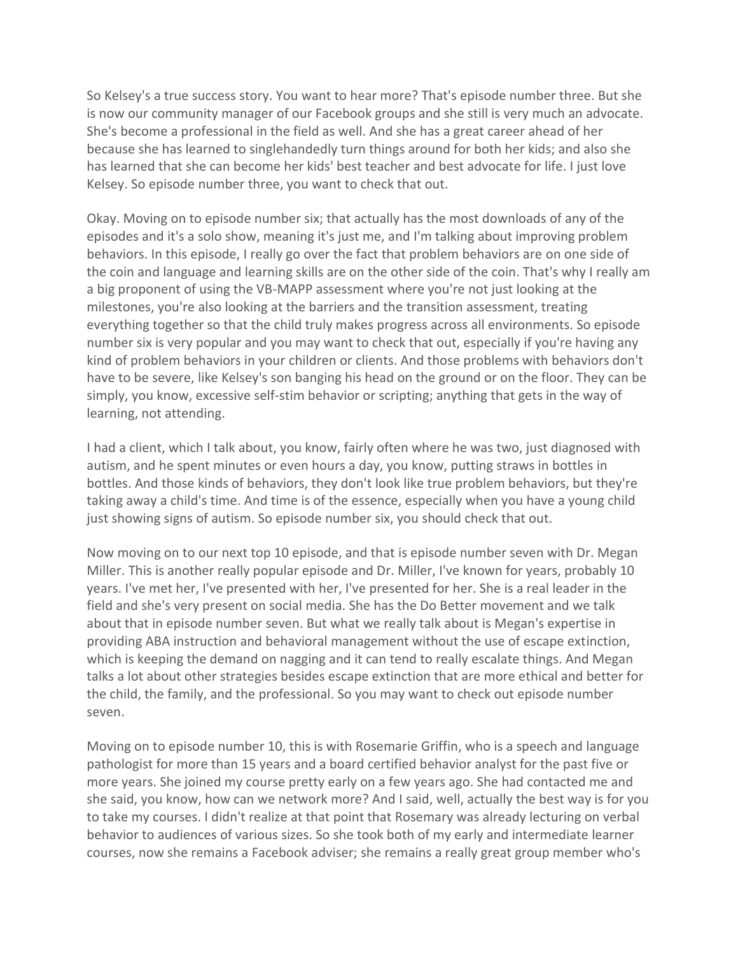So Kelsey's a true success story. You want to hear more? That's episode number three. But she is now our community manager of our Facebook groups and she still is very much an advocate. She's become a professional in the field as well. And she has a great career ahead of her because she has learned to singlehandedly turn things around for both her kids; and also she has learned that she can become her kids' best teacher and best advocate for life. I just love Kelsey. So episode number three, you want to check that out.

Okay. Moving on to episode number six; that actually has the most downloads of any of the episodes and it's a solo show, meaning it's just me, and I'm talking about improving problem behaviors. In this episode, I really go over the fact that problem behaviors are on one side of the coin and language and learning skills are on the other side of the coin. That's why I really am a big proponent of using the VB-MAPP assessment where you're not just looking at the milestones, you're also looking at the barriers and the transition assessment, treating everything together so that the child truly makes progress across all environments. So episode number six is very popular and you may want to check that out, especially if you're having any kind of problem behaviors in your children or clients. And those problems with behaviors don't have to be severe, like Kelsey's son banging his head on the ground or on the floor. They can be simply, you know, excessive self-stim behavior or scripting; anything that gets in the way of learning, not attending.

I had a client, which I talk about, you know, fairly often where he was two, just diagnosed with autism, and he spent minutes or even hours a day, you know, putting straws in bottles in bottles. And those kinds of behaviors, they don't look like true problem behaviors, but they're taking away a child's time. And time is of the essence, especially when you have a young child just showing signs of autism. So episode number six, you should check that out.

Now moving on to our next top 10 episode, and that is episode number seven with Dr. Megan Miller. This is another really popular episode and Dr. Miller, I've known for years, probably 10 years. I've met her, I've presented with her, I've presented for her. She is a real leader in the field and she's very present on social media. She has the Do Better movement and we talk about that in episode number seven. But what we really talk about is Megan's expertise in providing ABA instruction and behavioral management without the use of escape extinction, which is keeping the demand on nagging and it can tend to really escalate things. And Megan talks a lot about other strategies besides escape extinction that are more ethical and better for the child, the family, and the professional. So you may want to check out episode number seven.

Moving on to episode number 10, this is with Rosemarie Griffin, who is a speech and language pathologist for more than 15 years and a board certified behavior analyst for the past five or more years. She joined my course pretty early on a few years ago. She had contacted me and she said, you know, how can we network more? And I said, well, actually the best way is for you to take my courses. I didn't realize at that point that Rosemary was already lecturing on verbal behavior to audiences of various sizes. So she took both of my early and intermediate learner courses, now she remains a Facebook adviser; she remains a really great group member who's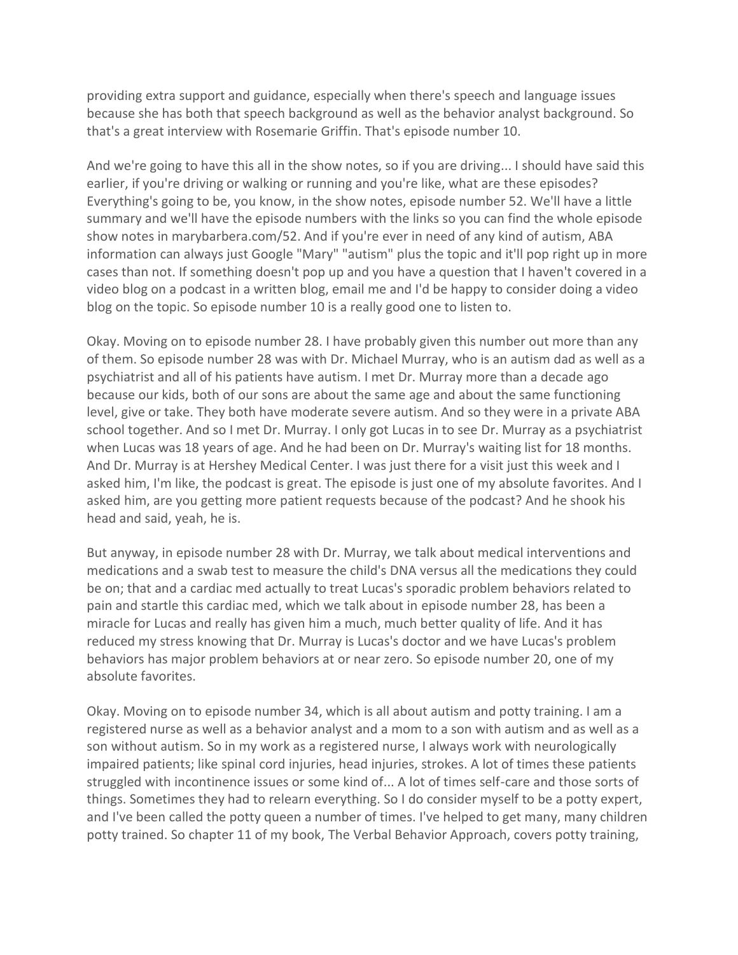providing extra support and guidance, especially when there's speech and language issues because she has both that speech background as well as the behavior analyst background. So that's a great interview with Rosemarie Griffin. That's episode number 10.

And we're going to have this all in the show notes, so if you are driving... I should have said this earlier, if you're driving or walking or running and you're like, what are these episodes? Everything's going to be, you know, in the show notes, episode number 52. We'll have a little summary and we'll have the episode numbers with the links so you can find the whole episode show notes in marybarbera.com/52. And if you're ever in need of any kind of autism, ABA information can always just Google "Mary" "autism" plus the topic and it'll pop right up in more cases than not. If something doesn't pop up and you have a question that I haven't covered in a video blog on a podcast in a written blog, email me and I'd be happy to consider doing a video blog on the topic. So episode number 10 is a really good one to listen to.

Okay. Moving on to episode number 28. I have probably given this number out more than any of them. So episode number 28 was with Dr. Michael Murray, who is an autism dad as well as a psychiatrist and all of his patients have autism. I met Dr. Murray more than a decade ago because our kids, both of our sons are about the same age and about the same functioning level, give or take. They both have moderate severe autism. And so they were in a private ABA school together. And so I met Dr. Murray. I only got Lucas in to see Dr. Murray as a psychiatrist when Lucas was 18 years of age. And he had been on Dr. Murray's waiting list for 18 months. And Dr. Murray is at Hershey Medical Center. I was just there for a visit just this week and I asked him, I'm like, the podcast is great. The episode is just one of my absolute favorites. And I asked him, are you getting more patient requests because of the podcast? And he shook his head and said, yeah, he is.

But anyway, in episode number 28 with Dr. Murray, we talk about medical interventions and medications and a swab test to measure the child's DNA versus all the medications they could be on; that and a cardiac med actually to treat Lucas's sporadic problem behaviors related to pain and startle this cardiac med, which we talk about in episode number 28, has been a miracle for Lucas and really has given him a much, much better quality of life. And it has reduced my stress knowing that Dr. Murray is Lucas's doctor and we have Lucas's problem behaviors has major problem behaviors at or near zero. So episode number 20, one of my absolute favorites.

Okay. Moving on to episode number 34, which is all about autism and potty training. I am a registered nurse as well as a behavior analyst and a mom to a son with autism and as well as a son without autism. So in my work as a registered nurse, I always work with neurologically impaired patients; like spinal cord injuries, head injuries, strokes. A lot of times these patients struggled with incontinence issues or some kind of... A lot of times self-care and those sorts of things. Sometimes they had to relearn everything. So I do consider myself to be a potty expert, and I've been called the potty queen a number of times. I've helped to get many, many children potty trained. So chapter 11 of my book, The Verbal Behavior Approach, covers potty training,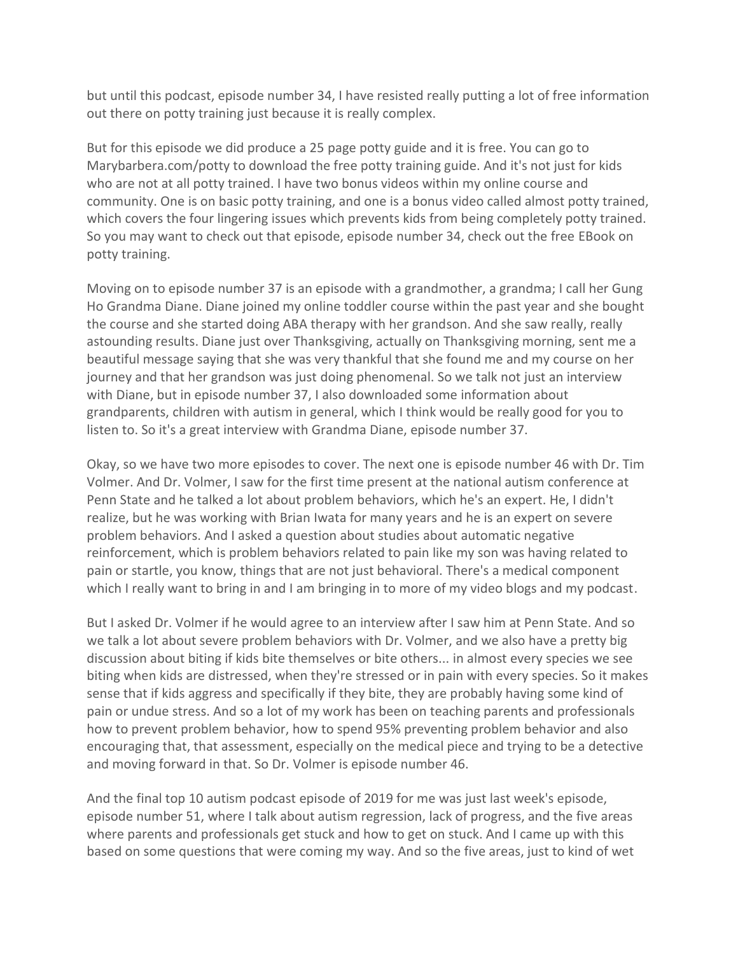but until this podcast, episode number 34, I have resisted really putting a lot of free information out there on potty training just because it is really complex.

But for this episode we did produce a 25 page potty guide and it is free. You can go to Marybarbera.com/potty to download the free potty training guide. And it's not just for kids who are not at all potty trained. I have two bonus videos within my online course and community. One is on basic potty training, and one is a bonus video called almost potty trained, which covers the four lingering issues which prevents kids from being completely potty trained. So you may want to check out that episode, episode number 34, check out the free EBook on potty training.

Moving on to episode number 37 is an episode with a grandmother, a grandma; I call her Gung Ho Grandma Diane. Diane joined my online toddler course within the past year and she bought the course and she started doing ABA therapy with her grandson. And she saw really, really astounding results. Diane just over Thanksgiving, actually on Thanksgiving morning, sent me a beautiful message saying that she was very thankful that she found me and my course on her journey and that her grandson was just doing phenomenal. So we talk not just an interview with Diane, but in episode number 37, I also downloaded some information about grandparents, children with autism in general, which I think would be really good for you to listen to. So it's a great interview with Grandma Diane, episode number 37.

Okay, so we have two more episodes to cover. The next one is episode number 46 with Dr. Tim Volmer. And Dr. Volmer, I saw for the first time present at the national autism conference at Penn State and he talked a lot about problem behaviors, which he's an expert. He, I didn't realize, but he was working with Brian Iwata for many years and he is an expert on severe problem behaviors. And I asked a question about studies about automatic negative reinforcement, which is problem behaviors related to pain like my son was having related to pain or startle, you know, things that are not just behavioral. There's a medical component which I really want to bring in and I am bringing in to more of my video blogs and my podcast.

But I asked Dr. Volmer if he would agree to an interview after I saw him at Penn State. And so we talk a lot about severe problem behaviors with Dr. Volmer, and we also have a pretty big discussion about biting if kids bite themselves or bite others... in almost every species we see biting when kids are distressed, when they're stressed or in pain with every species. So it makes sense that if kids aggress and specifically if they bite, they are probably having some kind of pain or undue stress. And so a lot of my work has been on teaching parents and professionals how to prevent problem behavior, how to spend 95% preventing problem behavior and also encouraging that, that assessment, especially on the medical piece and trying to be a detective and moving forward in that. So Dr. Volmer is episode number 46.

And the final top 10 autism podcast episode of 2019 for me was just last week's episode, episode number 51, where I talk about autism regression, lack of progress, and the five areas where parents and professionals get stuck and how to get on stuck. And I came up with this based on some questions that were coming my way. And so the five areas, just to kind of wet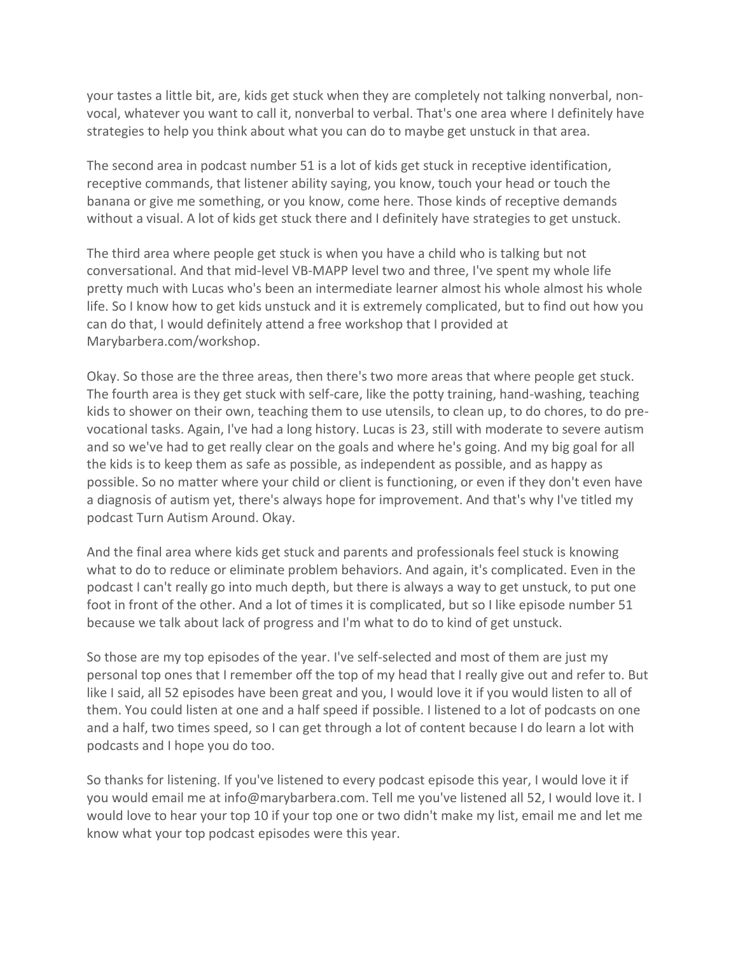your tastes a little bit, are, kids get stuck when they are completely not talking nonverbal, nonvocal, whatever you want to call it, nonverbal to verbal. That's one area where I definitely have strategies to help you think about what you can do to maybe get unstuck in that area.

The second area in podcast number 51 is a lot of kids get stuck in receptive identification, receptive commands, that listener ability saying, you know, touch your head or touch the banana or give me something, or you know, come here. Those kinds of receptive demands without a visual. A lot of kids get stuck there and I definitely have strategies to get unstuck.

The third area where people get stuck is when you have a child who is talking but not conversational. And that mid-level VB-MAPP level two and three, I've spent my whole life pretty much with Lucas who's been an intermediate learner almost his whole almost his whole life. So I know how to get kids unstuck and it is extremely complicated, but to find out how you can do that, I would definitely attend a free workshop that I provided at Marybarbera.com/workshop.

Okay. So those are the three areas, then there's two more areas that where people get stuck. The fourth area is they get stuck with self-care, like the potty training, hand-washing, teaching kids to shower on their own, teaching them to use utensils, to clean up, to do chores, to do prevocational tasks. Again, I've had a long history. Lucas is 23, still with moderate to severe autism and so we've had to get really clear on the goals and where he's going. And my big goal for all the kids is to keep them as safe as possible, as independent as possible, and as happy as possible. So no matter where your child or client is functioning, or even if they don't even have a diagnosis of autism yet, there's always hope for improvement. And that's why I've titled my podcast Turn Autism Around. Okay.

And the final area where kids get stuck and parents and professionals feel stuck is knowing what to do to reduce or eliminate problem behaviors. And again, it's complicated. Even in the podcast I can't really go into much depth, but there is always a way to get unstuck, to put one foot in front of the other. And a lot of times it is complicated, but so I like episode number 51 because we talk about lack of progress and I'm what to do to kind of get unstuck.

So those are my top episodes of the year. I've self-selected and most of them are just my personal top ones that I remember off the top of my head that I really give out and refer to. But like I said, all 52 episodes have been great and you, I would love it if you would listen to all of them. You could listen at one and a half speed if possible. I listened to a lot of podcasts on one and a half, two times speed, so I can get through a lot of content because I do learn a lot with podcasts and I hope you do too.

So thanks for listening. If you've listened to every podcast episode this year, I would love it if you would email me at info@marybarbera.com. Tell me you've listened all 52, I would love it. I would love to hear your top 10 if your top one or two didn't make my list, email me and let me know what your top podcast episodes were this year.